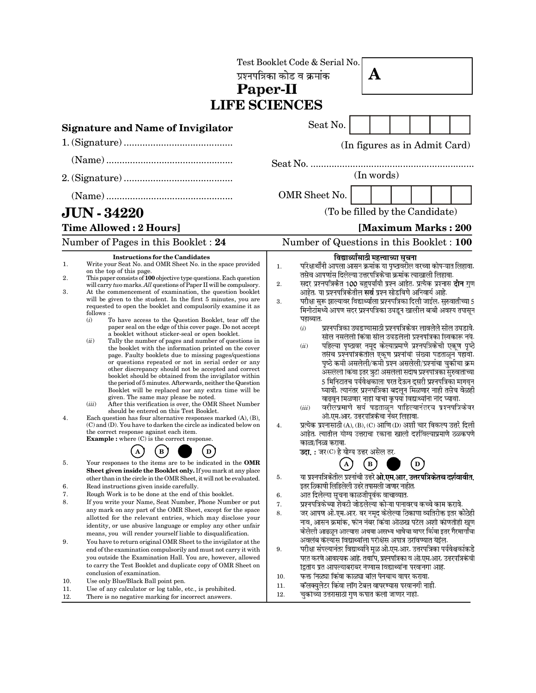|                         |                                                                                                                                                                                                                                                                                                                                                                                                                                                                                                                                                                                                                                                                                                                                                                                                                                                                                                                                                                                                                                                                                                                                                                                                                                                                                                                                                                                                                                                                                                                                                                        | Test Booklet Code & Serial No.<br>A<br>प्रश्नपत्रिका कोड व क्रमांक<br>Paper-II<br><b>LIFE SCIENCES</b>                                                                                                                                                                                                                                                                                                                                                                                                                                                                                                                                                                                                                                                                                                                                                                                                                                                                                                                                                                                                                                                                                                                                                                                                                                                                                                                                                 |
|-------------------------|------------------------------------------------------------------------------------------------------------------------------------------------------------------------------------------------------------------------------------------------------------------------------------------------------------------------------------------------------------------------------------------------------------------------------------------------------------------------------------------------------------------------------------------------------------------------------------------------------------------------------------------------------------------------------------------------------------------------------------------------------------------------------------------------------------------------------------------------------------------------------------------------------------------------------------------------------------------------------------------------------------------------------------------------------------------------------------------------------------------------------------------------------------------------------------------------------------------------------------------------------------------------------------------------------------------------------------------------------------------------------------------------------------------------------------------------------------------------------------------------------------------------------------------------------------------------|--------------------------------------------------------------------------------------------------------------------------------------------------------------------------------------------------------------------------------------------------------------------------------------------------------------------------------------------------------------------------------------------------------------------------------------------------------------------------------------------------------------------------------------------------------------------------------------------------------------------------------------------------------------------------------------------------------------------------------------------------------------------------------------------------------------------------------------------------------------------------------------------------------------------------------------------------------------------------------------------------------------------------------------------------------------------------------------------------------------------------------------------------------------------------------------------------------------------------------------------------------------------------------------------------------------------------------------------------------------------------------------------------------------------------------------------------------|
|                         | <b>Signature and Name of Invigilator</b>                                                                                                                                                                                                                                                                                                                                                                                                                                                                                                                                                                                                                                                                                                                                                                                                                                                                                                                                                                                                                                                                                                                                                                                                                                                                                                                                                                                                                                                                                                                               | Seat No.                                                                                                                                                                                                                                                                                                                                                                                                                                                                                                                                                                                                                                                                                                                                                                                                                                                                                                                                                                                                                                                                                                                                                                                                                                                                                                                                                                                                                                               |
|                         |                                                                                                                                                                                                                                                                                                                                                                                                                                                                                                                                                                                                                                                                                                                                                                                                                                                                                                                                                                                                                                                                                                                                                                                                                                                                                                                                                                                                                                                                                                                                                                        | (In figures as in Admit Card)                                                                                                                                                                                                                                                                                                                                                                                                                                                                                                                                                                                                                                                                                                                                                                                                                                                                                                                                                                                                                                                                                                                                                                                                                                                                                                                                                                                                                          |
|                         |                                                                                                                                                                                                                                                                                                                                                                                                                                                                                                                                                                                                                                                                                                                                                                                                                                                                                                                                                                                                                                                                                                                                                                                                                                                                                                                                                                                                                                                                                                                                                                        |                                                                                                                                                                                                                                                                                                                                                                                                                                                                                                                                                                                                                                                                                                                                                                                                                                                                                                                                                                                                                                                                                                                                                                                                                                                                                                                                                                                                                                                        |
|                         |                                                                                                                                                                                                                                                                                                                                                                                                                                                                                                                                                                                                                                                                                                                                                                                                                                                                                                                                                                                                                                                                                                                                                                                                                                                                                                                                                                                                                                                                                                                                                                        | (In words)                                                                                                                                                                                                                                                                                                                                                                                                                                                                                                                                                                                                                                                                                                                                                                                                                                                                                                                                                                                                                                                                                                                                                                                                                                                                                                                                                                                                                                             |
|                         |                                                                                                                                                                                                                                                                                                                                                                                                                                                                                                                                                                                                                                                                                                                                                                                                                                                                                                                                                                                                                                                                                                                                                                                                                                                                                                                                                                                                                                                                                                                                                                        | OMR Sheet No.                                                                                                                                                                                                                                                                                                                                                                                                                                                                                                                                                                                                                                                                                                                                                                                                                                                                                                                                                                                                                                                                                                                                                                                                                                                                                                                                                                                                                                          |
|                         | <b>JUN - 34220</b>                                                                                                                                                                                                                                                                                                                                                                                                                                                                                                                                                                                                                                                                                                                                                                                                                                                                                                                                                                                                                                                                                                                                                                                                                                                                                                                                                                                                                                                                                                                                                     | (To be filled by the Candidate)                                                                                                                                                                                                                                                                                                                                                                                                                                                                                                                                                                                                                                                                                                                                                                                                                                                                                                                                                                                                                                                                                                                                                                                                                                                                                                                                                                                                                        |
|                         | <b>Time Allowed: 2 Hours]</b>                                                                                                                                                                                                                                                                                                                                                                                                                                                                                                                                                                                                                                                                                                                                                                                                                                                                                                                                                                                                                                                                                                                                                                                                                                                                                                                                                                                                                                                                                                                                          | [Maximum Marks: 200                                                                                                                                                                                                                                                                                                                                                                                                                                                                                                                                                                                                                                                                                                                                                                                                                                                                                                                                                                                                                                                                                                                                                                                                                                                                                                                                                                                                                                    |
|                         | Number of Pages in this Booklet : 24                                                                                                                                                                                                                                                                                                                                                                                                                                                                                                                                                                                                                                                                                                                                                                                                                                                                                                                                                                                                                                                                                                                                                                                                                                                                                                                                                                                                                                                                                                                                   | Number of Questions in this Booklet : 100                                                                                                                                                                                                                                                                                                                                                                                                                                                                                                                                                                                                                                                                                                                                                                                                                                                                                                                                                                                                                                                                                                                                                                                                                                                                                                                                                                                                              |
| 1.<br>2.<br>3.<br>4.    | <b>Instructions for the Candidates</b><br>Write your Seat No. and OMR Sheet No. in the space provided<br>on the top of this page.<br>This paper consists of 100 objective type questions. Each question<br>will carry two marks. All questions of Paper II will be compulsory.<br>At the commencement of examination, the question booklet<br>will be given to the student. In the first 5 minutes, you are<br>requested to open the booklet and compulsorily examine it as<br>follows:<br>(i)<br>To have access to the Question Booklet, tear off the<br>paper seal on the edge of this cover page. Do not accept<br>a booklet without sticker-seal or open booklet.<br>(ii)<br>Tally the number of pages and number of questions in<br>the booklet with the information printed on the cover<br>page. Faulty booklets due to missing pages/questions<br>or questions repeated or not in serial order or any<br>other discrepancy should not be accepted and correct<br>booklet should be obtained from the invigilator within<br>the period of 5 minutes. Afterwards, neither the Question<br>Booklet will be replaced nor any extra time will be<br>given. The same may please be noted.<br>(iii)<br>After this verification is over, the OMR Sheet Number<br>should be entered on this Test Booklet.<br>Each question has four alternative responses marked $(A)$ , $(B)$ ,<br>$(C)$ and $(D)$ . You have to darken the circle as indicated below on<br>the correct response against each item.<br><b>Example</b> : where $(C)$ is the correct response.<br>в<br>D | विद्यार्थ्यांसाठी महत्त्वाच्या सूचना<br>परिक्षार्थींनी आपला आसन क्रमांक या पृष्ठावरील वरच्या कोप-यात लिहावा.<br>1.<br>तसेच आपणांस दिलेल्या उत्तरपत्रिकेचा क्रमांक त्याखाली लिहावा.<br>सदर प्रश्नपत्रिकेत 100 बहुपर्यायी प्रश्न आहेत. प्रत्येक प्रश्नास <b>दोन</b> गुण<br>2.<br>आहेत. या प्रश्नपत्रिकेतील सर्व प्रश्न सोडविणे अनिवार्य आहे.<br>परीक्षा सुरू झाल्यावर विद्यार्थ्याला प्रश्नपत्रिका दिली जाईल. सुरुवातीच्या 5<br>3.<br>मिनीटांमध्ये आपण सदर प्रश्नपत्रिका उघडून खालील बाबी अवश्य तपासून<br>पहाव्यात.<br>प्रश्नपत्रिका उघडण्यासाठी प्रश्नपत्रिकेवर लावलेले सील उघडावे.<br>(i)<br>सील नसलेली किंवा सील उघडलेली प्रश्नपत्रिका स्विकारू नये.<br>पहिल्या पृष्ठावर नमूद केल्याप्रमाणे प्रश्नपत्रिकेची एकूण पृष्ठे<br>(ii)<br>तसेच प्रश्नपत्रिकेतील एकूण प्रश्नांची संख्या पडताळून पहावी.<br>पृष्ठे कमी असलेली/कमी प्रश्न असलेली/प्रश्नांचा चुकीचा क्रम<br>असलेली किंवा इतर त्रुटी असलेली सदीष प्रश्नपत्रिका सुरुवातीच्या<br>5 मिनिटातच पर्यवेक्षकाला परत देऊन दुसरी प्रश्नपत्रिका मागवून<br>घ्यावी. त्यानंतर प्रश्नपत्रिका बदलून मिळणार नाही तसेच वेळही<br>वाढवून मिळणार नाही याची कृपया विद्यार्थ्यांनी नोंद घ्यावी.<br>वरीलप्रमाणे सर्व पडताळून पाहिल्यानंतरच प्रश्नपत्रिकेवर<br>(iii)<br>ओ.एम.आर. उत्तरपत्रिकेचा नंबर लिहावा.<br>प्रत्येक प्रश्नासाठी (A), (B), (C) आणि (D) अशी चार विकल्प उत्तरे दिली<br>4.<br>आहेत. त्यातील योग्य उत्तराचा रकाना खाली दर्शावल्याप्रमाणे ठळकपणे<br>काळा/निळा करावा.<br>उदा.: जर (C) हे योग्य उत्तर असेल तर. |
| 5.<br>6.<br>7.<br>8.    | Your responses to the items are to be indicated in the OMR<br>Sheet given inside the Booklet only. If you mark at any place<br>other than in the circle in the OMR Sheet, it will not be evaluated.<br>Read instructions given inside carefully.<br>Rough Work is to be done at the end of this booklet.<br>If you write your Name, Seat Number, Phone Number or put<br>any mark on any part of the OMR Sheet, except for the space<br>allotted for the relevant entries, which may disclose your<br>identity, or use abusive language or employ any other unfair<br>means, you will render yourself liable to disqualification.                                                                                                                                                                                                                                                                                                                                                                                                                                                                                                                                                                                                                                                                                                                                                                                                                                                                                                                                       | $\boldsymbol{\rm A}$<br>$\mathbf B$<br>$\left( \mathbf{D}\right)$<br>या प्रश्नपत्रिकेतील प्रश्नांची उत्तरे ओ.एम.आर. उत्तरपत्रिकेतच दर्शवावीत.<br>5.<br>इतर ठिकाणी लिहिलेली उत्तरे तपासली जाणार नाहीत.<br>आत दिलेल्या सूचना काळजीपूर्वक वाचाव्यात.<br>6.<br>प्रश्नपत्रिकेच्या शेवटी जोडलेल्या कोऱ्या पानावरच कच्चे काम करावे.<br>7.<br>जर आपण ओ.एम.आर. वर नमुद केलेल्या ठिकाणा व्यतिरीक्त इतर कोठेही<br>8.<br>नाव, आसन क्रमांक, फोन नंबर किंवा ओळख पटेल अशी कोणतीही खूण<br>केलेली आढळून आल्यास अथवा असभ्य भाषेचा वापर किंवा इतर गैरमार्गांचा                                                                                                                                                                                                                                                                                                                                                                                                                                                                                                                                                                                                                                                                                                                                                                                                                                                                                                            |
| 9.<br>10.<br>11.<br>12. | You have to return original OMR Sheet to the invigilator at the<br>end of the examination compulsorily and must not carry it with<br>you outside the Examination Hall. You are, however, allowed<br>to carry the Test Booklet and duplicate copy of OMR Sheet on<br>conclusion of examination.<br>Use only Blue/Black Ball point pen.<br>Use of any calculator or log table, etc., is prohibited.<br>There is no negative marking for incorrect answers.                                                                                                                                                                                                                                                                                                                                                                                                                                                                                                                                                                                                                                                                                                                                                                                                                                                                                                                                                                                                                                                                                                               | अवलंब केल्यास विद्यार्थ्याला परीक्षेस अपात्र ठरविण्यात येईल.<br>परीक्षा संपल्यानंतर विद्यार्थ्याने मूळ ओ.एम.आर. उत्तरपत्रिका पर्यवेक्षकांकडे<br>9.<br>परत करणे आवश्यक आहे. तथापि, प्रश्नपत्रिका व ओ.एम.आर. उत्तरपत्रिकेची<br>द्वितीय प्रत आपल्याबरोबर नेण्यास विद्यार्थ्यांना परवानगी आहे.<br>फक्त निळ्या किंवा काळ्या बॉल पेनचाच वापर करावा.<br>10.<br>कॅलक्युलेटर किंवा लॉग टेबल वापरण्यास परवानगी नाही.<br>11.<br>चुकोच्या उत्तरासाठी गुण कपात केली जाणार नाही.<br>12.                                                                                                                                                                                                                                                                                                                                                                                                                                                                                                                                                                                                                                                                                                                                                                                                                                                                                                                                                                              |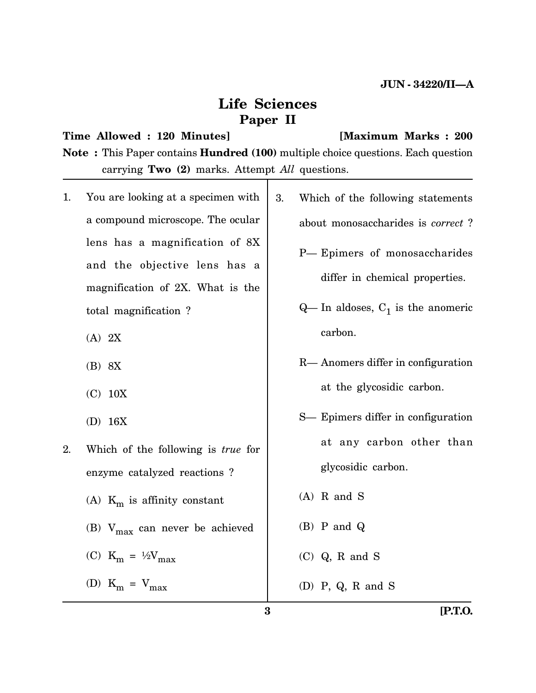# **Life Sciences Paper II**

#### **Time Allowed : 120 Minutes] [Maximum Marks : 200**

**Note :** This Paper contains **Hundred (100)** multiple choice questions. Each question carrying **Two (2)** marks. Attempt *All* questions.

- 1. You are looking at a specimen with a compound microscope. The ocular lens has a magnification of 8X and the objective lens has a magnification of 2X. What is the total magnification ?
	- (A) 2X
	- (B) 8X
	- (C) 10X
	- (D) 16X
- 2. Which of the following is *true* for enzyme catalyzed reactions ? (A)  $K_m$  is affinity constant
	- (B)  $V_{\text{max}}$  can never be achieved
	- (C)  $K_m = \frac{1}{2}V_{max}$
	- (D)  $K_m = V_{max}$
- 3. Which of the following statements about monosaccharides is *correct* ?
	- P— Epimers of monosaccharides differ in chemical properties.
	- $Q$  In aldoses,  $C_1$  is the anomeric carbon.
	- R— Anomers differ in configuration at the glycosidic carbon.
	- S— Epimers differ in configuration at any carbon other than glycosidic carbon.
	- (A) R and S
	- (B) P and Q
	- (C) Q, R and S
	- (D) P, Q, R and S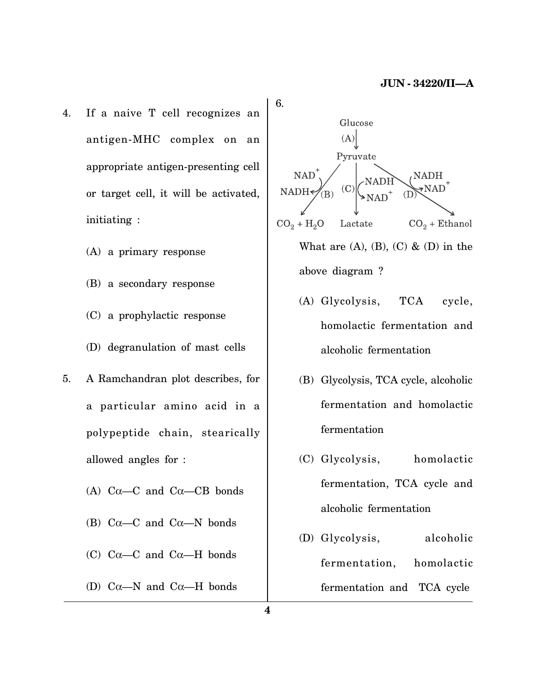- 4. If a naive T cell recognizes an antigen-MHC complex on an appropriate antigen-presenting cell or target cell, it will be activated, initiating :
	- (A) a primary response
	- (B) a secondary response
	- (C) a prophylactic response
	- (D) degranulation of mast cells
- 5. A Ramchandran plot describes, for a particular amino acid in a polypeptide chain, stearically allowed angles for :
	- (A)  $C\alpha$ — $C$  and  $C\alpha$ — $CB$  bonds
	- (B)  $C\alpha$ —C and  $C\alpha$ —N bonds
	- (C)  $C\alpha$ —C and  $C\alpha$ —H bonds
	- (D) C $\alpha$ —N and C $\alpha$ —H bonds

Glucose  $(A)$ Pyruvate **NAT NAD**  $(C)$ **NAT**  $CO<sub>2</sub> + H<sub>2</sub>O$ Lactate  $CO<sub>2</sub> + Ethanol$ What are  $(A)$ ,  $(B)$ ,  $(C)$  &  $(D)$  in the above diagram ?

- (A) Glycolysis, TCA cycle, homolactic fermentation and alcoholic fermentation
- (B) Glycolysis, TCA cycle, alcoholic fermentation and homolactic fermentation
- (C) Glycolysis, homolactic fermentation, TCA cycle and alcoholic fermentation
- (D) Glycolysis, alcoholic fermentation, homolactic fermentation and TCA cycle

6.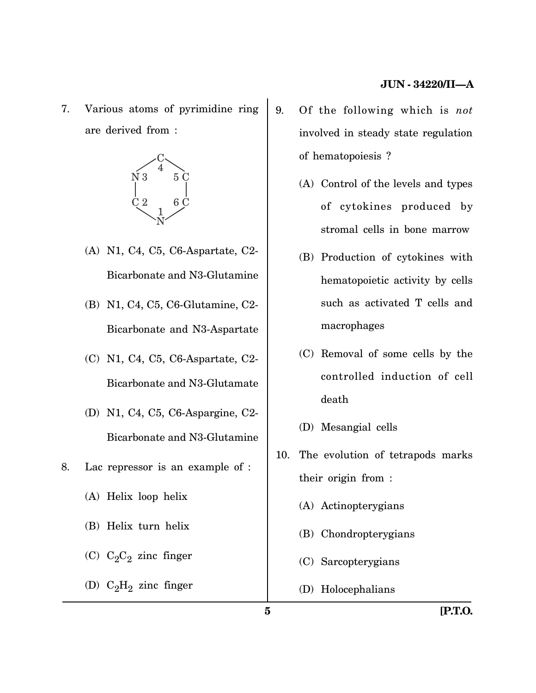7. Various atoms of pyrimidine ring are derived from :



- (A) N1, C4, C5, C6-Aspartate, C2- Bicarbonate and N3-Glutamine
- (B) N1, C4, C5, C6-Glutamine, C2- Bicarbonate and N3-Aspartate
- (C) N1, C4, C5, C6-Aspartate, C2- Bicarbonate and N3-Glutamate
- (D) N1, C4, C5, C6-Aspargine, C2- Bicarbonate and N3-Glutamine
- 8. Lac repressor is an example of :
	- (A) Helix loop helix
	- (B) Helix turn helix
	- (C)  $C_2C_2$  zinc finger
	- (D)  $C_2H_2$  zinc finger
- 9. Of the following which is *not* involved in steady state regulation of hematopoiesis ?
	- (A) Control of the levels and types of cytokines produced by stromal cells in bone marrow
	- (B) Production of cytokines with hematopoietic activity by cells such as activated T cells and macrophages
	- (C) Removal of some cells by the controlled induction of cell death
	- (D) Mesangial cells
- 10. The evolution of tetrapods marks their origin from :
	- (A) Actinopterygians
	- (B) Chondropterygians
	- (C) Sarcopterygians
	- (D) Holocephalians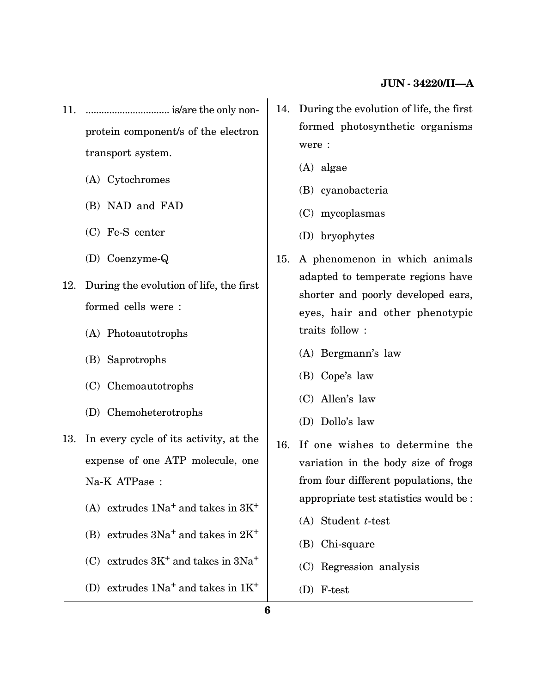- 11. ................................ is/are the only nonprotein component/s of the electron transport system.
	- (A) Cytochromes
	- (B) NAD and FAD
	- (C) Fe-S center
	- (D) Coenzyme-Q
- 12. During the evolution of life, the first formed cells were :
	- (A) Photoautotrophs
	- (B) Saprotrophs
	- (C) Chemoautotrophs
	- (D) Chemoheterotrophs
- 13. In every cycle of its activity, at the expense of one ATP molecule, one Na-K ATPase :
	- (A) extrudes  $1Na<sup>+</sup>$  and takes in  $3K<sup>+</sup>$
	- (B) extrudes  $3Na<sup>+</sup>$  and takes in  $2K<sup>+</sup>$
	- (C) extrudes  $3K^+$  and takes in  $3Na^+$
	- (D) extrudes  $1Na<sup>+</sup>$  and takes in  $1K<sup>+</sup>$
- 14. During the evolution of life, the first formed photosynthetic organisms were :
	- (A) algae
	- (B) cyanobacteria
	- (C) mycoplasmas
	- (D) bryophytes
- 15. A phenomenon in which animals adapted to temperate regions have shorter and poorly developed ears, eyes, hair and other phenotypic traits follow :
	- (A) Bergmann's law
	- (B) Cope's law
	- (C) Allen's law
	- (D) Dollo's law
- 16. If one wishes to determine the variation in the body size of frogs from four different populations, the appropriate test statistics would be :
	- (A) Student *t*-test
	- (B) Chi-square
	- (C) Regression analysis
	- (D) F-test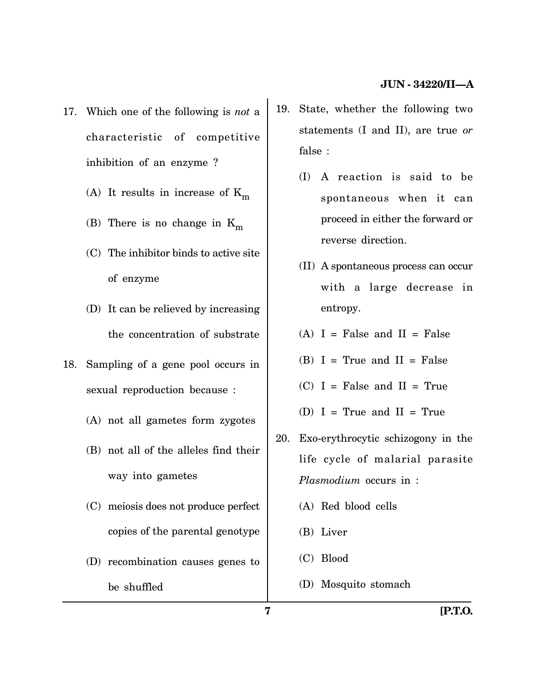- 17. Which one of the following is *not* a characteristic of competitive inhibition of an enzyme ?
	- (A) It results in increase of  $K_m$
	- (B) There is no change in  $K_m$
	- (C) The inhibitor binds to active site of enzyme
	- (D) It can be relieved by increasing the concentration of substrate
- 18. Sampling of a gene pool occurs in sexual reproduction because :
	- (A) not all gametes form zygotes
	- (B) not all of the alleles find their way into gametes
	- (C) meiosis does not produce perfect copies of the parental genotype
	- (D) recombination causes genes to be shuffled
- 19. State, whether the following two statements (I and II), are true *or* false :
	- (I) A reaction is said to be spontaneous when it can proceed in either the forward or reverse direction.
	- (II) A spontaneous process can occur with a large decrease in entropy.
	- $(A)$  I = False and II = False
	- $(B)$  I = True and II = False
	- $(C)$  I = False and II = True
	- (D)  $I = True$  and  $II = True$
- 20. Exo-erythrocytic schizogony in the life cycle of malarial parasite *Plasmodium* occurs in :
	- (A) Red blood cells
	- (B) Liver
	- (C) Blood
	- (D) Mosquito stomach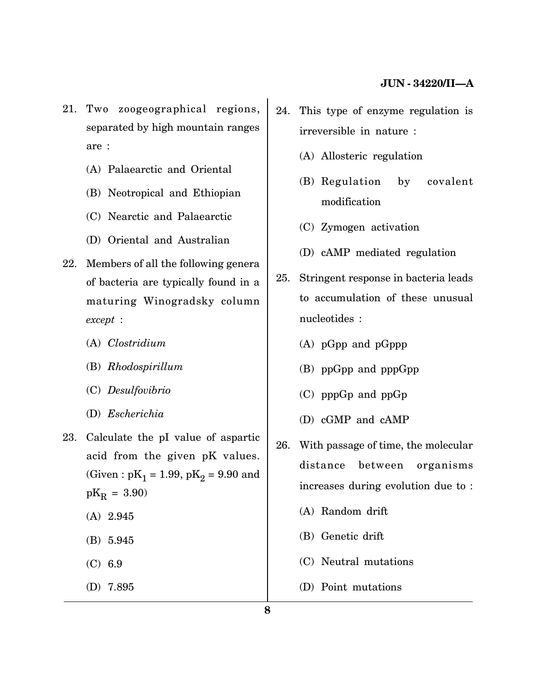- 21. Two zoogeographical regions, separated by high mountain ranges are :
	- (A) Palaearctic and Oriental
	- (B) Neotropical and Ethiopian
	- (C) Nearctic and Palaearctic
	- (D) Oriental and Australian
- 22. Members of all the following genera of bacteria are typically found in a maturing Winogradsky column *except* :
	- (A) *Clostridium*
	- (B) *Rhodospirillum*
	- (C) *Desulfovibrio*
	- (D) *Escherichia*
- 23. Calculate the pI value of aspartic acid from the given pK values. (Given :  $\text{pK}_1 = 1.99, \, \text{pK}_2 = 9.90$  and  $pK_R = 3.90$ 
	- (A) 2.945
	- (B) 5.945
	- (C) 6.9
	- (D) 7.895
- 24. This type of enzyme regulation is irreversible in nature :
	- (A) Allosteric regulation
	- (B) Regulation by covalent modification
	- (C) Zymogen activation
	- (D) cAMP mediated regulation
- 25. Stringent response in bacteria leads to accumulation of these unusual nucleotides :
	- (A) pGpp and pGppp
	- (B) ppGpp and pppGpp
	- (C) pppGp and ppGp
	- (D) cGMP and cAMP
- 26. With passage of time, the molecular distance between organisms increases during evolution due to :
	- (A) Random drift
	- (B) Genetic drift
	- (C) Neutral mutations
	- (D) Point mutations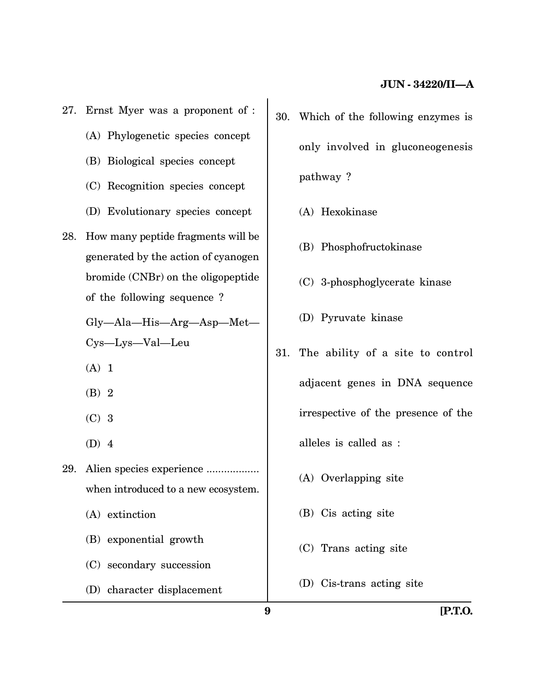- 27. Ernst Myer was a proponent of :
	- (A) Phylogenetic species concept
	- (B) Biological species concept
	- (C) Recognition species concept
	- (D) Evolutionary species concept
- 28. How many peptide fragments will be generated by the action of cyanogen bromide (CNBr) on the oligopeptide of the following sequence ?

Gly—Ala—His—Arg—Asp—Met— Cys—Lys—Val—Leu

- $(A)$  1
- (B) 2
- (C) 3
- (D) 4
- 29. Alien species experience .................. when introduced to a new ecosystem. (A) extinction
	- (B) exponential growth
	- (C) secondary succession
	- (D) character displacement
- 30. Which of the following enzymes is only involved in gluconeogenesis pathway ?
	- (A) Hexokinase
	- (B) Phosphofructokinase
	- (C) 3-phosphoglycerate kinase
	- (D) Pyruvate kinase
- 31. The ability of a site to control adjacent genes in DNA sequence irrespective of the presence of the alleles is called as :
	- (A) Overlapping site
	- (B) Cis acting site
	- (C) Trans acting site
	- (D) Cis-trans acting site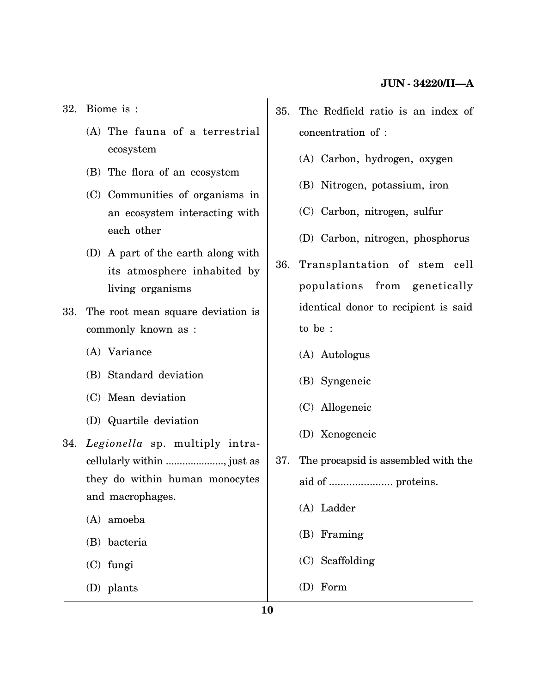32. Biome is :

- (A) The fauna of a terrestrial ecosystem
- (B) The flora of an ecosystem
- (C) Communities of organisms in an ecosystem interacting with each other
- (D) A part of the earth along with its atmosphere inhabited by living organisms
- 33. The root mean square deviation is commonly known as :
	- (A) Variance
	- (B) Standard deviation
	- (C) Mean deviation
	- (D) Quartile deviation
- 34. *Legionella* sp. multiply intracellularly within ....................., just as they do within human monocytes and macrophages.
	- (A) amoeba
	- (B) bacteria
	- (C) fungi
	- (D) plants
- 35. The Redfield ratio is an index of concentration of :
	- (A) Carbon, hydrogen, oxygen
	- (B) Nitrogen, potassium, iron
	- (C) Carbon, nitrogen, sulfur
	- (D) Carbon, nitrogen, phosphorus
- 36. Transplantation of stem cell populations from genetically identical donor to recipient is said to be :
	- (A) Autologus
	- (B) Syngeneic
	- (C) Allogeneic
	- (D) Xenogeneic
- 37. The procapsid is assembled with the aid of ...................... proteins.
	- (A) Ladder
	- (B) Framing
	- (C) Scaffolding
	- (D) Form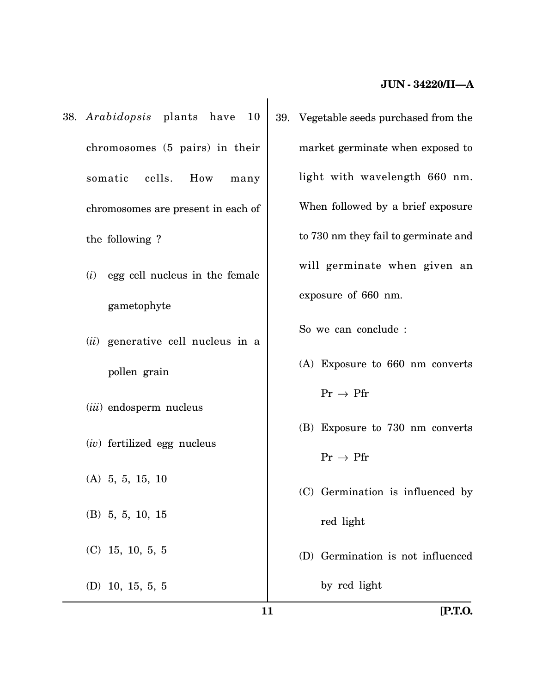- 38. *Arabidopsis* plants have 10 chromosomes (5 pairs) in their somatic cells. How many chromosomes are present in each of the following ?
	- (*i*) egg cell nucleus in the female gametophyte
	- (*ii*) generative cell nucleus in a pollen grain
	- (*iii*) endosperm nucleus
	- (*iv*) fertilized egg nucleus
	- (A) 5, 5, 15, 10
	- (B) 5, 5, 10, 15
	- (C) 15, 10, 5, 5
	- (D) 10, 15, 5, 5

39. Vegetable seeds purchased from the market germinate when exposed to light with wavelength 660 nm. When followed by a brief exposure to 730 nm they fail to germinate and will germinate when given an exposure of 660 nm.

So we can conclude :

- (A) Exposure to 660 nm converts  $\Pr \rightarrow \Pr$
- (B) Exposure to 730 nm converts

 $\Pr \rightarrow \Pr$ 

- (C) Germination is influenced by red light
- (D) Germination is not influenced

by red light

**11 [P.T.O.**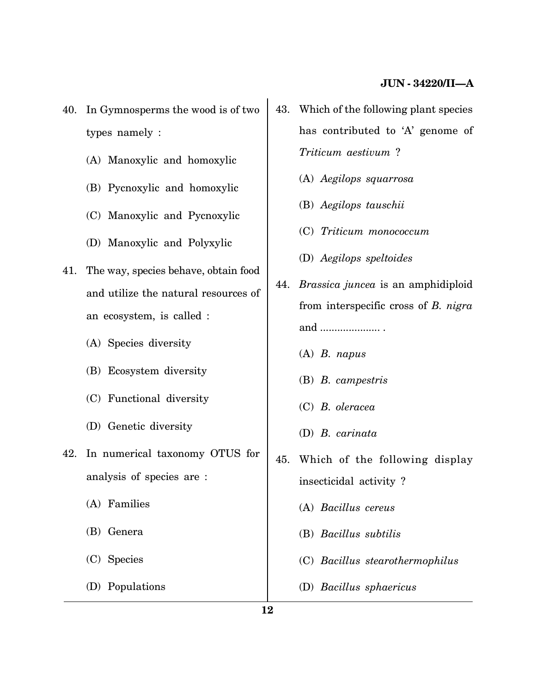- 40. In Gymnosperms the wood is of two types namely :
	- (A) Manoxylic and homoxylic
	- (B) Pycnoxylic and homoxylic
	- (C) Manoxylic and Pycnoxylic
	- (D) Manoxylic and Polyxylic
- 41. The way, species behave, obtain food and utilize the natural resources of an ecosystem, is called :
	- (A) Species diversity
	- (B) Ecosystem diversity
	- (C) Functional diversity
	- (D) Genetic diversity
- 42. In numerical taxonomy OTUS for analysis of species are :
	- (A) Families
	- (B) Genera
	- (C) Species
	- (D) Populations
- 43. Which of the following plant species has contributed to 'A' genome of *Triticum aestivum* ?
	- (A) *Aegilops squarrosa*
	- (B) *Aegilops tauschii*
	- (C) *Triticum monococcum*
	- (D) *Aegilops speltoides*
- 44. *Brassica juncea* is an amphidiploid from interspecific cross of *B. nigra* and ..................... .
	- (A) *B. napus*
	- (B) *B. campestris*
	- (C) *B. oleracea*
	- (D) *B. carinata*
- 45. Which of the following display insecticidal activity ?
	- (A) *Bacillus cereus*
	- (B) *Bacillus subtilis*
	- (C) *Bacillus stearothermophilus*
	- (D) *Bacillus sphaericus*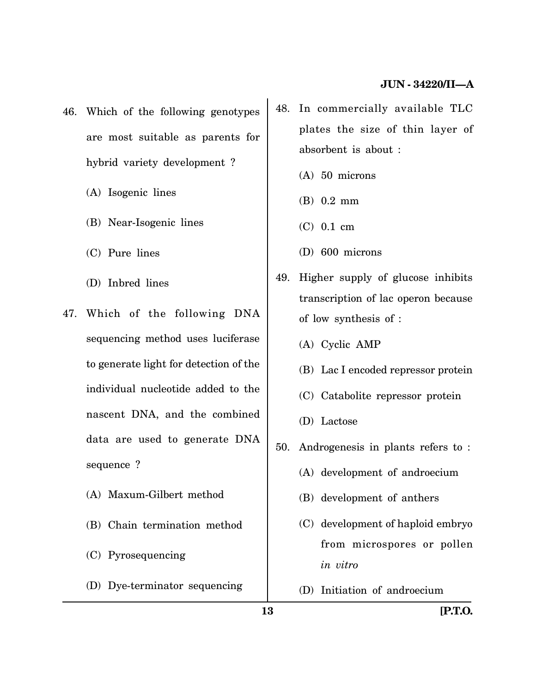- 46. Which of the following genotypes are most suitable as parents for hybrid variety development ?
	- (A) Isogenic lines
	- (B) Near-Isogenic lines
	- (C) Pure lines
	- (D) Inbred lines
- 47. Which of the following DNA sequencing method uses luciferase to generate light for detection of the individual nucleotide added to the nascent DNA, and the combined data are used to generate DNA sequence ?
	- (A) Maxum-Gilbert method
	- (B) Chain termination method
	- (C) Pyrosequencing
	- (D) Dye-terminator sequencing
- 48. In commercially available TLC plates the size of thin layer of absorbent is about :
	- (A) 50 microns
	- (B) 0.2 mm
	- (C) 0.1 cm
	- (D) 600 microns
- 49. Higher supply of glucose inhibits transcription of lac operon because of low synthesis of :
	- (A) Cyclic AMP
	- (B) Lac I encoded repressor protein
	- (C) Catabolite repressor protein
	- (D) Lactose
- 50. Androgenesis in plants refers to :
	- (A) development of androecium
	- (B) development of anthers
	- (C) development of haploid embryo from microspores or pollen *in vitro*
	- (D) Initiation of androecium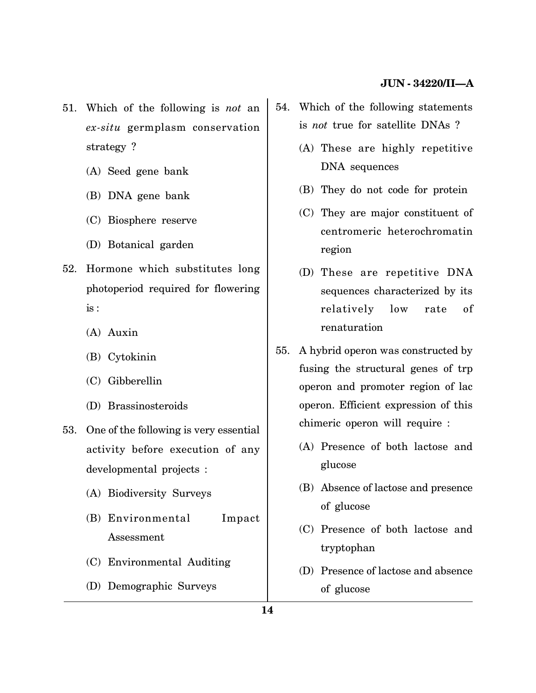- 51. Which of the following is *not* an *ex-situ* germplasm conservation strategy ?
	- (A) Seed gene bank
	- (B) DNA gene bank
	- (C) Biosphere reserve
	- (D) Botanical garden
- 52. Hormone which substitutes long photoperiod required for flowering is :
	- (A) Auxin
	- (B) Cytokinin
	- (C) Gibberellin
	- (D) Brassinosteroids
- 53. One of the following is very essential activity before execution of any developmental projects :
	- (A) Biodiversity Surveys
	- (B) Environmental Impact Assessment
	- (C) Environmental Auditing
	- (D) Demographic Surveys
- 54. Which of the following statements is *not* true for satellite DNAs ?
	- (A) These are highly repetitive DNA sequences
	- (B) They do not code for protein
	- (C) They are major constituent of centromeric heterochromatin region
	- (D) These are repetitive DNA sequences characterized by its relatively low rate of renaturation
- 55. A hybrid operon was constructed by fusing the structural genes of trp operon and promoter region of lac operon. Efficient expression of this chimeric operon will require :
	- (A) Presence of both lactose and glucose
	- (B) Absence of lactose and presence of glucose
	- (C) Presence of both lactose and tryptophan
	- (D) Presence of lactose and absence of glucose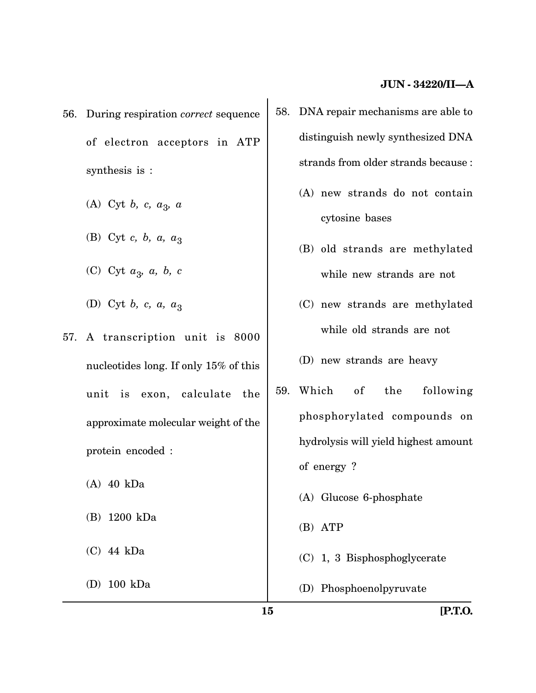- 56. During respiration *correct* sequence of electron acceptors in ATP synthesis is :
	- (A) Cyt *b, c, a*<sup>3</sup> *, a*
	- (B) Cyt *c*, *b*, *a*,  $a_3$
	- (C) Cyt *a*<sup>3</sup> *, a, b, c*
	- (D) Cyt *b*, *c*, *a*,  $a_3$
- 57. A transcription unit is 8000 nucleotides long. If only 15% of this unit is exon, calculate the approximate molecular weight of the protein encoded :
	- (A) 40 kDa
	- (B) 1200 kDa
	- (C) 44 kDa
	- (D) 100 kDa
- 58. DNA repair mechanisms are able to distinguish newly synthesized DNA strands from older strands because :
	- (A) new strands do not contain cytosine bases
	- (B) old strands are methylated while new strands are not
	- (C) new strands are methylated while old strands are not
	- (D) new strands are heavy
- 59. Which of the following phosphorylated compounds on hydrolysis will yield highest amount of energy ? (A) Glucose 6-phosphate
	- (B) ATP
	- (C) 1, 3 Bisphosphoglycerate
	- (D) Phosphoenolpyruvate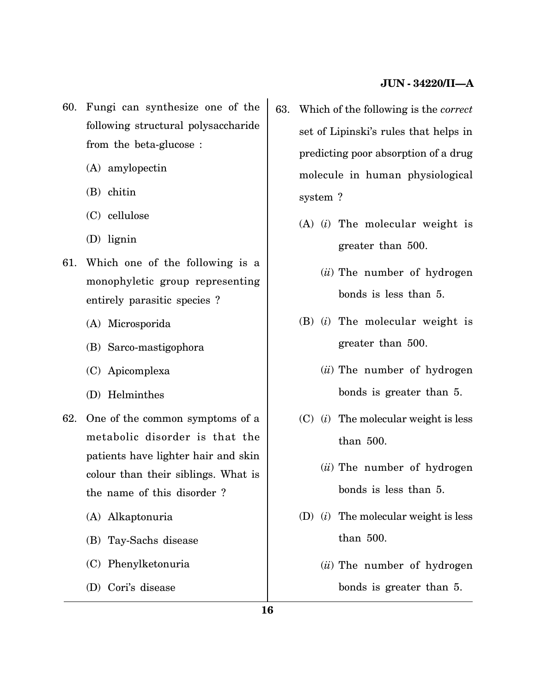- 60. Fungi can synthesize one of the following structural polysaccharide from the beta-glucose :
	- (A) amylopectin
	- (B) chitin
	- (C) cellulose
	- (D) lignin
- 61. Which one of the following is a monophyletic group representing entirely parasitic species ?
	- (A) Microsporida
	- (B) Sarco-mastigophora
	- (C) Apicomplexa
	- (D) Helminthes
- 62. One of the common symptoms of a metabolic disorder is that the patients have lighter hair and skin colour than their siblings. What is the name of this disorder ?
	- (A) Alkaptonuria
	- (B) Tay-Sachs disease
	- (C) Phenylketonuria
	- (D) Cori's disease
- 63. Which of the following is the *correct* set of Lipinski's rules that helps in predicting poor absorption of a drug molecule in human physiological system ?
	- (A) (*i*) The molecular weight is greater than 500.
		- (*ii*) The number of hydrogen bonds is less than 5.
	- (B) (*i*) The molecular weight is greater than 500.
		- (*ii*) The number of hydrogen bonds is greater than 5.
	- (C) (*i*) The molecular weight is less than 500.
		- (*ii*) The number of hydrogen bonds is less than 5.
	- (D) (*i*) The molecular weight is less than 500.
		- (*ii*) The number of hydrogen bonds is greater than 5.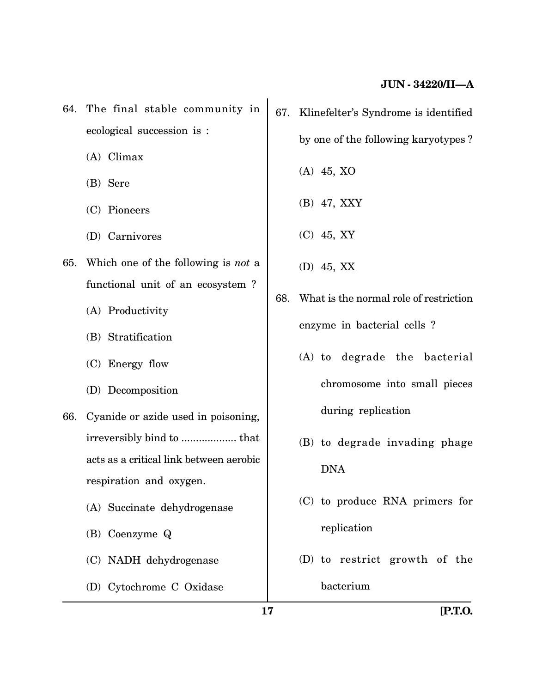- 64. The final stable community in ecological succession is :
	- (A) Climax
	- (B) Sere
	- (C) Pioneers
	- (D) Carnivores
- 65. Which one of the following is *not* a functional unit of an ecosystem ?
	- (A) Productivity
	- (B) Stratification
	- (C) Energy flow
	- (D) Decomposition
- 66. Cyanide or azide used in poisoning, irreversibly bind to ................... that acts as a critical link between aerobic respiration and oxygen.
	- (A) Succinate dehydrogenase
	- (B) Coenzyme Q
	- (C) NADH dehydrogenase
	- (D) Cytochrome C Oxidase
- 67. Klinefelter's Syndrome is identified by one of the following karyotypes ? (A) 45, XO
	-
	- (B) 47, XXY
	- (C) 45, XY
	- (D) 45, XX
- 68. What is the normal role of restriction enzyme in bacterial cells ?
	- (A) to degrade the bacterial chromosome into small pieces during replication
	- (B) to degrade invading phage DNA
	- (C) to produce RNA primers for replication
	- (D) to restrict growth of the bacterium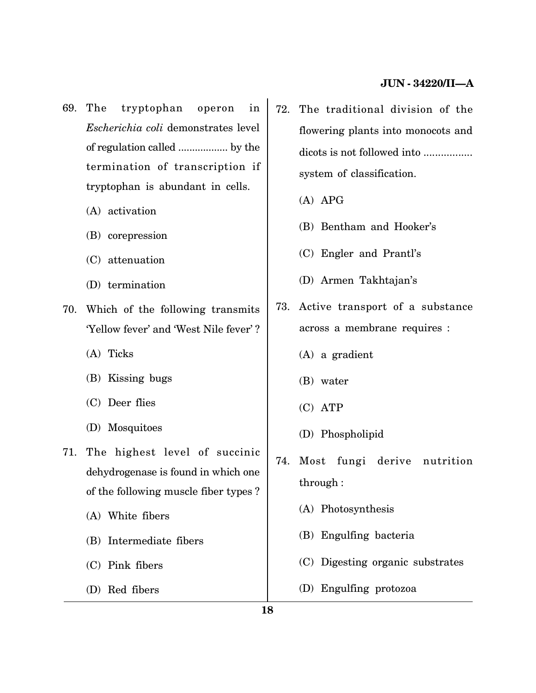- 69. The tryptophan operon in *Escherichia coli* demonstrates level of regulation called .................. by the termination of transcription if tryptophan is abundant in cells.
	- (A) activation
	- (B) corepression
	- (C) attenuation
	- (D) termination
- 70. Which of the following transmits 'Yellow fever' and 'West Nile fever' ?
	- (A) Ticks
	- (B) Kissing bugs
	- (C) Deer flies
	- (D) Mosquitoes
- 71. The highest level of succinic dehydrogenase is found in which one of the following muscle fiber types ?
	- (A) White fibers
	- (B) Intermediate fibers
	- (C) Pink fibers
	- (D) Red fibers
- 72. The traditional division of the flowering plants into monocots and dicots is not followed into ................. system of classification.
	- (A) APG
	- (B) Bentham and Hooker's
	- (C) Engler and Prantl's
	- (D) Armen Takhtajan's
- 73. Active transport of a substance across a membrane requires :
	- (A) a gradient
	- (B) water
	- (C) ATP
	- (D) Phospholipid
- 74. Most fungi derive nutrition through :
	- (A) Photosynthesis
	- (B) Engulfing bacteria
	- (C) Digesting organic substrates
	- (D) Engulfing protozoa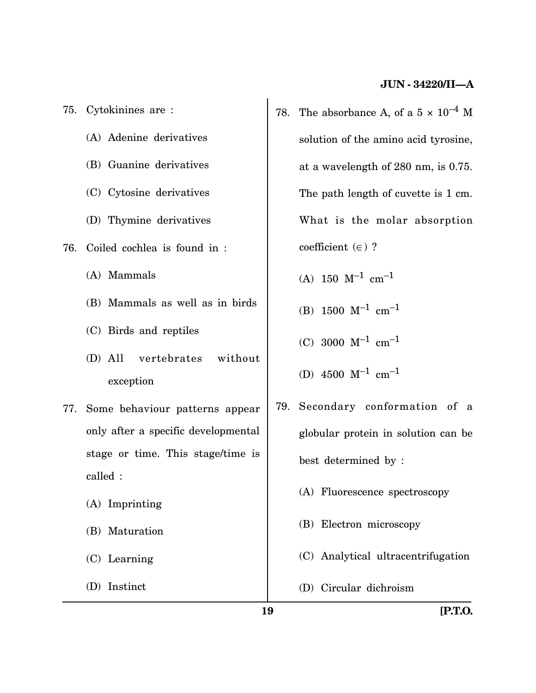- 75. Cytokinines are : (A) Adenine derivatives (B) Guanine derivatives (C) Cytosine derivatives (D) Thymine derivatives 76. Coiled cochlea is found in : (A) Mammals (B) Mammals as well as in birds (C) Birds and reptiles (D) All vertebrates without exception 77. Some behaviour patterns appear only after a specific developmental stage or time. This stage/time is called : (A) Imprinting (B) Maturation (C) Learning
	- (D) Instinct
- 78. The absorbance A, of a  $5 \times 10^{-4}$  M solution of the amino acid tyrosine, at a wavelength of 280 nm, is 0.75. The path length of cuvette is 1 cm. What is the molar absorption coefficient  $(\in)$  ?
	- $(A)$  150  $M^{-1}$  cm<sup>-1</sup>
	- (B)  $1500 \text{ M}^{-1} \text{ cm}^{-1}$
	- (C) 3000  $M^{-1}$  cm<sup>-1</sup>
	- (D)  $4500 \text{ M}^{-1} \text{ cm}^{-1}$
- 79. Secondary conformation of a globular protein in solution can be best determined by :
	- (A) Fluorescence spectroscopy
	- (B) Electron microscopy
	- (C) Analytical ultracentrifugation
	- (D) Circular dichroism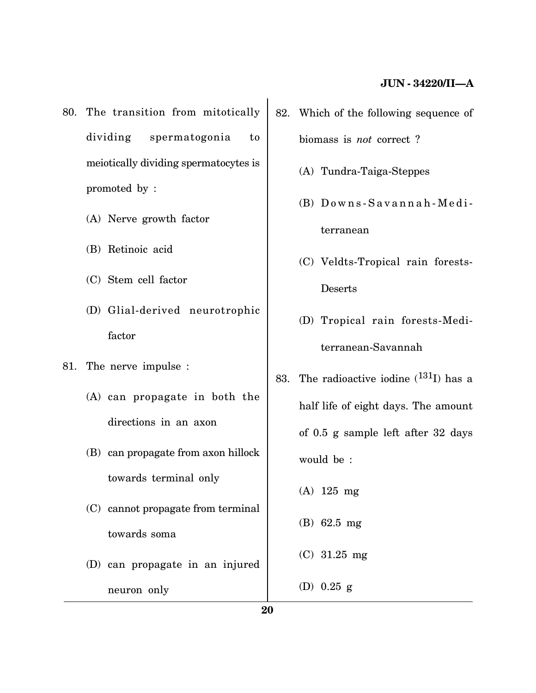- 80. The transition from mitotically dividing spermatogonia to meiotically dividing spermatocytes is promoted by :
	- (A) Nerve growth factor
	- (B) Retinoic acid
	- (C) Stem cell factor
	- (D) Glial-derived neurotrophic factor
- 81. The nerve impulse :
	- (A) can propagate in both the directions in an axon
	- (B) can propagate from axon hillock towards terminal only
	- (C) cannot propagate from terminal towards soma
	- (D) can propagate in an injured neuron only
- 82. Which of the following sequence of biomass is *not* correct ?
	- (A) Tundra-Taiga-Steppes
	- $(B)$  Downs-Savannah-Mediterranean
	- (C) Veldts-Tropical rain forests-Deserts
	- (D) Tropical rain forests-Mediterranean-Savannah
- 83. The radioactive iodine  $(^{131}I)$  has a half life of eight days. The amount of 0.5 g sample left after 32 days would be :
	- (A) 125 mg
	- (B) 62.5 mg
	- (C) 31.25 mg
	- (D) 0.25 g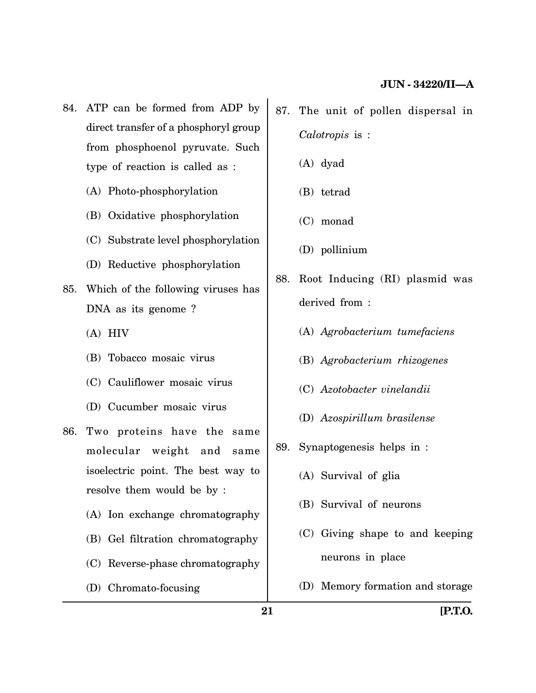- 84. ATP can be formed from ADP by direct transfer of a phosphoryl group from phosphoenol pyruvate. Such type of reaction is called as :
	- (A) Photo-phosphorylation
	- (B) Oxidative phosphorylation
	- (C) Substrate level phosphorylation
	- (D) Reductive phosphorylation
- 85. Which of the following viruses has DNA as its genome ?
	- (A) HIV
	- (B) Tobacco mosaic virus
	- (C) Cauliflower mosaic virus
	- (D) Cucumber mosaic virus
- 86. Two proteins have the same molecular weight and same isoelectric point. The best way to resolve them would be by :
	- (A) Ion exchange chromatography
	- (B) Gel filtration chromatography
	- (C) Reverse-phase chromatography
	- (D) Chromato-focusing
- 87. The unit of pollen dispersal in *Calotropis* is :
	- (A) dyad
	- (B) tetrad
	- (C) monad
	- (D) pollinium
- 88. Root Inducing (RI) plasmid was derived from :
	- (A) *Agrobacterium tumefaciens*
	- (B) *Agrobacterium rhizogenes*
	- (C) *Azotobacter vinelandii*
	- (D) *Azospirillum brasilense*
- 89. Synaptogenesis helps in :
	- (A) Survival of glia
	- (B) Survival of neurons
	- (C) Giving shape to and keeping neurons in place
	- (D) Memory formation and storage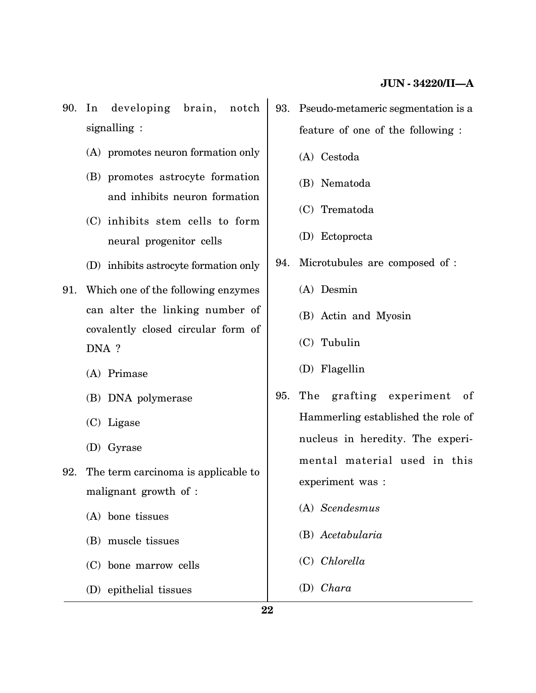- 90. In developing brain, notch signalling :
	- (A) promotes neuron formation only
	- (B) promotes astrocyte formation and inhibits neuron formation
	- (C) inhibits stem cells to form neural progenitor cells
	- (D) inhibits astrocyte formation only
- 91. Which one of the following enzymes can alter the linking number of covalently closed circular form of DNA ?
	- (A) Primase
	- (B) DNA polymerase
	- (C) Ligase
	- (D) Gyrase
- 92. The term carcinoma is applicable to malignant growth of :
	- (A) bone tissues
	- (B) muscle tissues
	- (C) bone marrow cells
	- (D) epithelial tissues
- 93. Pseudo-metameric segmentation is a feature of one of the following :
	- (A) Cestoda
	- (B) Nematoda
	- (C) Trematoda
	- (D) Ectoprocta
- 94. Microtubules are composed of :
	- (A) Desmin
	- (B) Actin and Myosin
	- (C) Tubulin
	- (D) Flagellin
- 95. The grafting experiment of Hammerling established the role of nucleus in heredity. The experimental material used in this experiment was :
	- (A) *Scendesmus*
	- (B) *Acetabularia*
	- (C) *Chlorella*
	- (D) *Chara*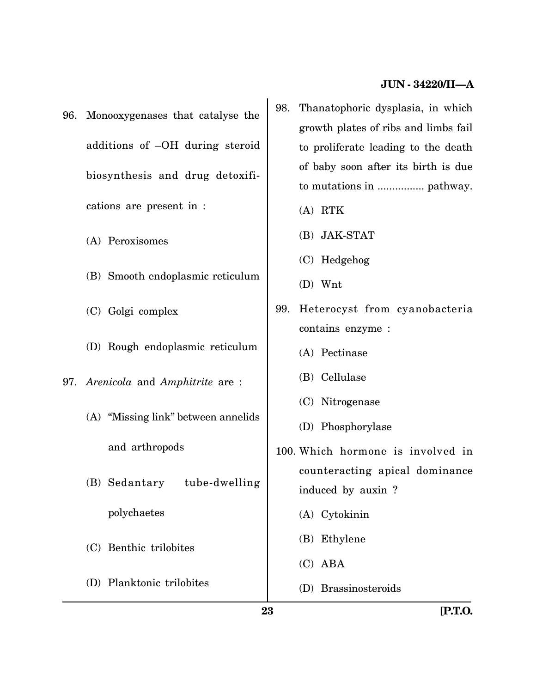- 96. Monooxygenases that catalyse the additions of –OH during steroid biosynthesis and drug detoxifications are present in :
	- (A) Peroxisomes
	- (B) Smooth endoplasmic reticulum
	- (C) Golgi complex
	- (D) Rough endoplasmic reticulum
- 97. *Arenicola* and *Amphitrite* are :
	- (A) "Missing link" between annelids and arthropods
	- (B) Sedantary tube-dwelling polychaetes
	- (C) Benthic trilobites
	- (D) Planktonic trilobites
- 98. Thanatophoric dysplasia, in which growth plates of ribs and limbs fail to proliferate leading to the death of baby soon after its birth is due to mutations in ................ pathway.
	- (A) RTK
	- (B) JAK-STAT
	- (C) Hedgehog
	- (D) Wnt
- 99. Heterocyst from cyanobacteria contains enzyme :
	- (A) Pectinase
	- (B) Cellulase
	- (C) Nitrogenase
	- (D) Phosphorylase
- 100. Which hormone is involved in counteracting apical dominance induced by auxin ?
	- (A) Cytokinin
	- (B) Ethylene
	- (C) ABA
	- (D) Brassinosteroids